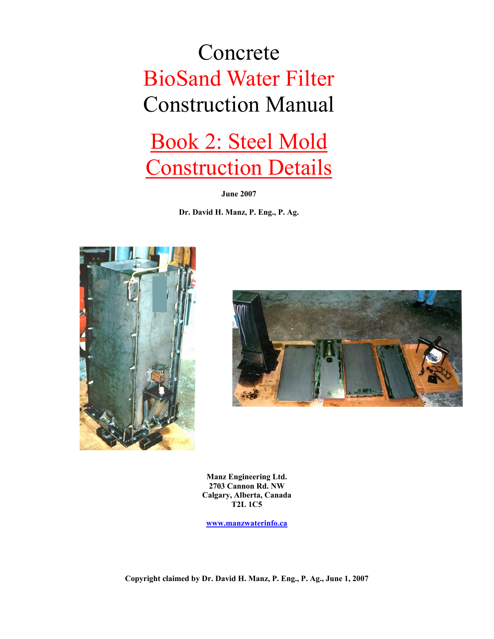## Concrete BioSand Water Filter Construction Manual

## Book 2: Steel Mold Construction Details

**June 2007** 

**Dr. David H. Manz, P. Eng., P. Ag.** 





**Manz Engineering Ltd. 2703 Cannon Rd. NW Calgary, Alberta, Canada T2L 1C5** 

**www.manzwaterinfo.ca**

**Copyright claimed by Dr. David H. Manz, P. Eng., P. Ag., June 1, 2007**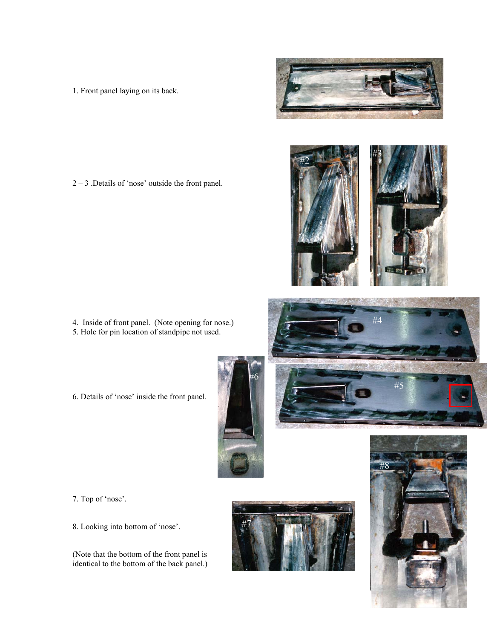1. Front panel laying on its back.

2 – 3 .Details of 'nose' outside the front panel.

- 4. Inside of front panel. (Note opening for nose.) 5. Hole for pin location of standpipe not used.
- 6. Details of 'nose' inside the front panel.

- 7. Top of 'nose'.
- 8. Looking into bottom of 'nose'.

(Note that the bottom of the front panel is identical to the bottom of the back panel.)









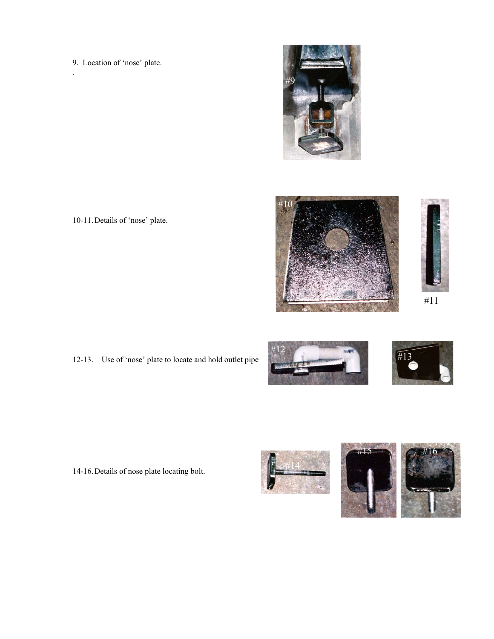9. Location of 'nose' plate.

.



10-11. Details of 'nose' plate.





#11

12-13. Use of 'nose' plate to locate and hold outlet pipe





14-16. Details of nose plate locating bolt.



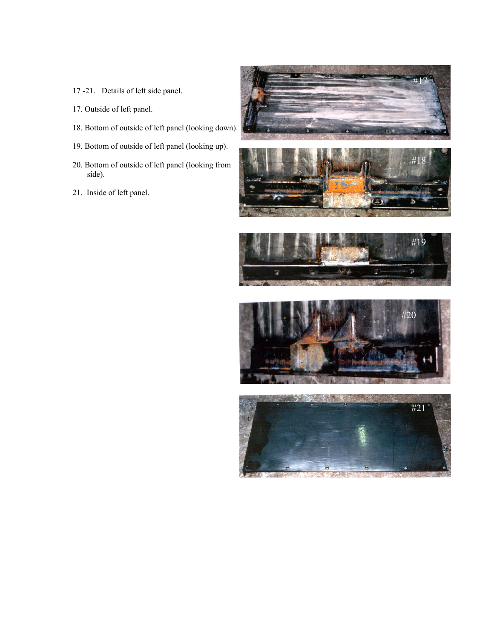- 17 -21. Details of left side panel.
- 17. Outside of left panel.
- 18. Bottom of outside of left panel (looking down).
- 19. Bottom of outside of left panel (looking up).
- 20. Bottom of outside of left panel (looking from side).
- 21. Inside of left panel.









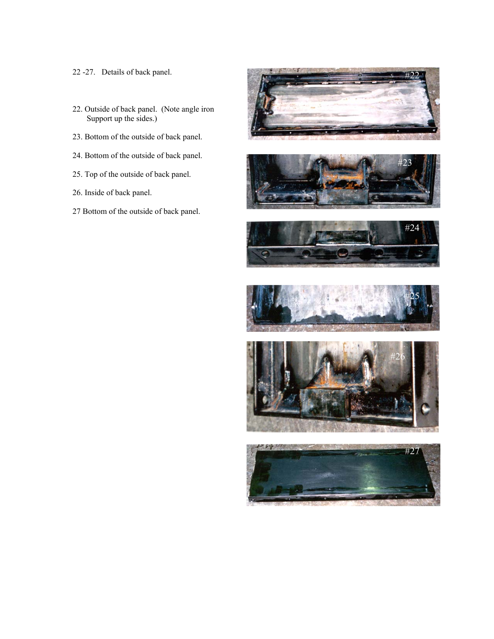- 22 -27. Details of back panel.
- 22. Outside of back panel. (Note angle iron Support up the sides.)
- 23. Bottom of the outside of back panel.
- 24. Bottom of the outside of back panel.
- 25. Top of the outside of back panel.
- 26. Inside of back panel.
- 27 Bottom of the outside of back panel.











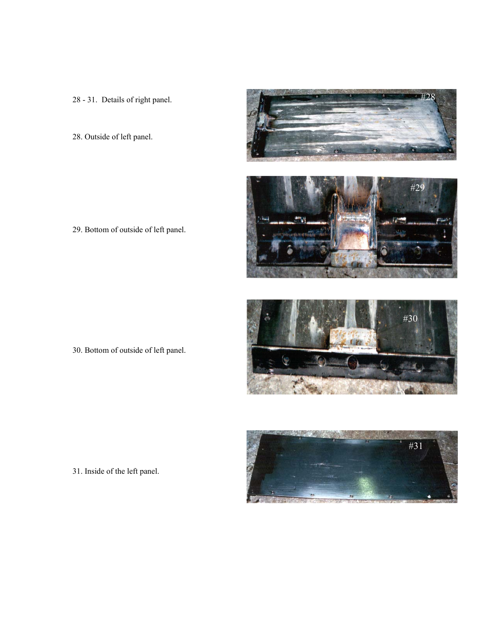28 - 31. Details of right panel.

28. Outside of left panel.

29. Bottom of outside of left panel.

#30

30. Bottom of outside of left panel.



31. Inside of the left panel.

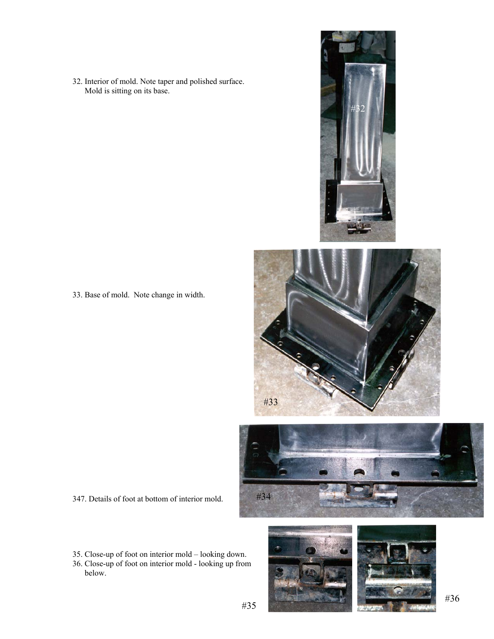32. Interior of mold. Note taper and polished surface. Mold is sitting on its base.



33. Base of mold. Note change in width.





- 347. Details of foot at bottom of interior mold.
- 35. Close-up of foot on interior mold looking down.
- 36. Close-up of foot on interior mold looking up from below.

#35

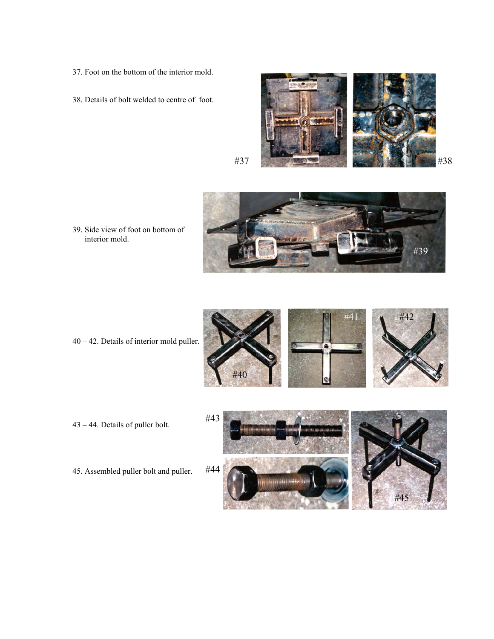- 37. Foot on the bottom of the interior mold.
- 38. Details of bolt welded to centre of foot.







39. Side view of foot on bottom of interior mold.



- 
- 43 44. Details of puller bolt.
- 45. Assembled puller bolt and puller.